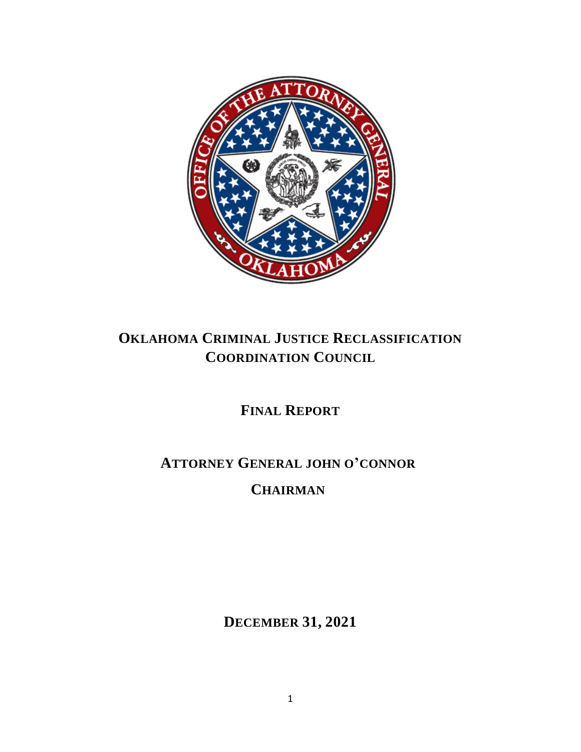

# **OKLAHOMA CRIMINAL JUSTICE RECLASSIFICATION COORDINATION COUNCIL**

**FINAL REPORT**

# **ATTORNEY GENERAL JOHN O'CONNOR CHAIRMAN**

**DECEMBER 31, 2021**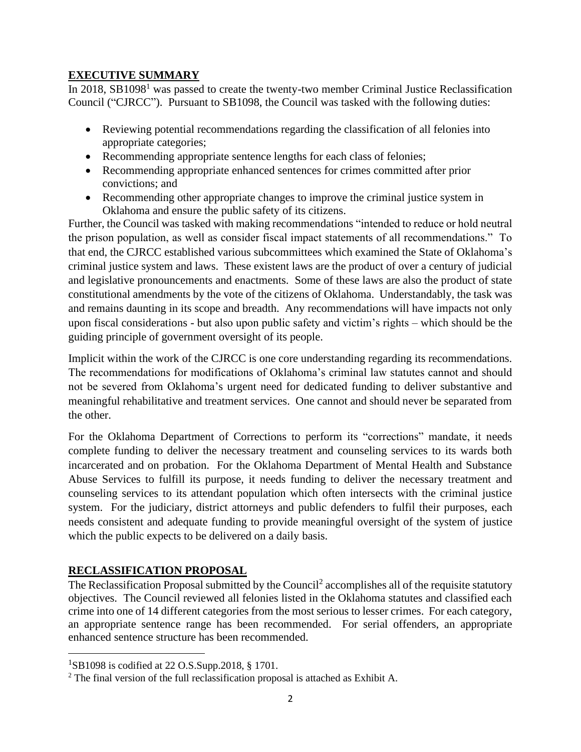### **EXECUTIVE SUMMARY**

In 2018, SB1098<sup>1</sup> was passed to create the twenty-two member Criminal Justice Reclassification Council ("CJRCC"). Pursuant to SB1098, the Council was tasked with the following duties:

- Reviewing potential recommendations regarding the classification of all felonies into appropriate categories;
- Recommending appropriate sentence lengths for each class of felonies;
- Recommending appropriate enhanced sentences for crimes committed after prior convictions; and
- Recommending other appropriate changes to improve the criminal justice system in Oklahoma and ensure the public safety of its citizens.

Further, the Council was tasked with making recommendations "intended to reduce or hold neutral the prison population, as well as consider fiscal impact statements of all recommendations." To that end, the CJRCC established various subcommittees which examined the State of Oklahoma's criminal justice system and laws. These existent laws are the product of over a century of judicial and legislative pronouncements and enactments. Some of these laws are also the product of state constitutional amendments by the vote of the citizens of Oklahoma. Understandably, the task was and remains daunting in its scope and breadth. Any recommendations will have impacts not only upon fiscal considerations - but also upon public safety and victim's rights – which should be the guiding principle of government oversight of its people.

Implicit within the work of the CJRCC is one core understanding regarding its recommendations. The recommendations for modifications of Oklahoma's criminal law statutes cannot and should not be severed from Oklahoma's urgent need for dedicated funding to deliver substantive and meaningful rehabilitative and treatment services. One cannot and should never be separated from the other.

For the Oklahoma Department of Corrections to perform its "corrections" mandate, it needs complete funding to deliver the necessary treatment and counseling services to its wards both incarcerated and on probation. For the Oklahoma Department of Mental Health and Substance Abuse Services to fulfill its purpose, it needs funding to deliver the necessary treatment and counseling services to its attendant population which often intersects with the criminal justice system. For the judiciary, district attorneys and public defenders to fulfil their purposes, each needs consistent and adequate funding to provide meaningful oversight of the system of justice which the public expects to be delivered on a daily basis.

# **RECLASSIFICATION PROPOSAL**

The Reclassification Proposal submitted by the Council<sup>2</sup> accomplishes all of the requisite statutory objectives. The Council reviewed all felonies listed in the Oklahoma statutes and classified each crime into one of 14 different categories from the most serious to lesser crimes. For each category, an appropriate sentence range has been recommended. For serial offenders, an appropriate enhanced sentence structure has been recommended.

 ${}^{1}$ SB1098 is codified at 22 O.S.Supp.2018, § 1701.

<sup>2</sup> The final version of the full reclassification proposal is attached as Exhibit A.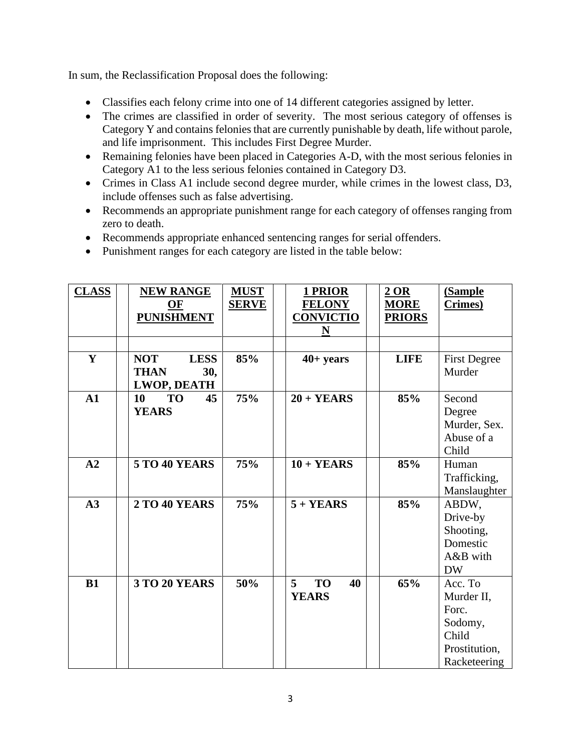In sum, the Reclassification Proposal does the following:

- Classifies each felony crime into one of 14 different categories assigned by letter.
- The crimes are classified in order of severity. The most serious category of offenses is Category Y and contains felonies that are currently punishable by death, life without parole, and life imprisonment. This includes First Degree Murder.
- Remaining felonies have been placed in Categories A-D, with the most serious felonies in Category A1 to the less serious felonies contained in Category D3.
- Crimes in Class A1 include second degree murder, while crimes in the lowest class, D3, include offenses such as false advertising.
- Recommends an appropriate punishment range for each category of offenses ranging from zero to death.
- Recommends appropriate enhanced sentencing ranges for serial offenders.
- Punishment ranges for each category are listed in the table below:

| <b>CLASS</b>  | <b>NEW RANGE</b><br>OF<br><b>PUNISHMENT</b>                           | <b>MUST</b><br><b>SERVE</b> | 1 PRIOR<br><b>FELONY</b><br><b>CONVICTIO</b><br>N | $2$ OR<br><b>MORE</b><br><b>PRIORS</b> | (Sample<br>Crimes)                                                                  |
|---------------|-----------------------------------------------------------------------|-----------------------------|---------------------------------------------------|----------------------------------------|-------------------------------------------------------------------------------------|
|               |                                                                       |                             |                                                   |                                        |                                                                                     |
| Y             | <b>NOT</b><br><b>LESS</b><br>30,<br><b>THAN</b><br><b>LWOP, DEATH</b> | 85%                         | $40+ years$                                       | <b>LIFE</b>                            | <b>First Degree</b><br>Murder                                                       |
| $\mathbf{A1}$ | <b>TO</b><br>45<br>10<br><b>YEARS</b>                                 | 75%                         | $20 + YEARS$                                      | 85%                                    | Second<br>Degree<br>Murder, Sex.<br>Abuse of a<br>Child                             |
| A2            | <b>5 TO 40 YEARS</b>                                                  | 75%                         | $10 + YEARS$                                      | 85%                                    | Human<br>Trafficking,<br>Manslaughter                                               |
| A3            | <b>2 TO 40 YEARS</b>                                                  | 75%                         | $5 + YEARS$                                       | 85%                                    | ABDW,<br>Drive-by<br>Shooting,<br>Domestic<br>A&B with<br><b>DW</b>                 |
| <b>B1</b>     | <b>3 TO 20 YEARS</b>                                                  | 50%                         | <b>TO</b><br>5<br>40<br><b>YEARS</b>              | 65%                                    | Acc. To<br>Murder II,<br>Forc.<br>Sodomy,<br>Child<br>Prostitution,<br>Racketeering |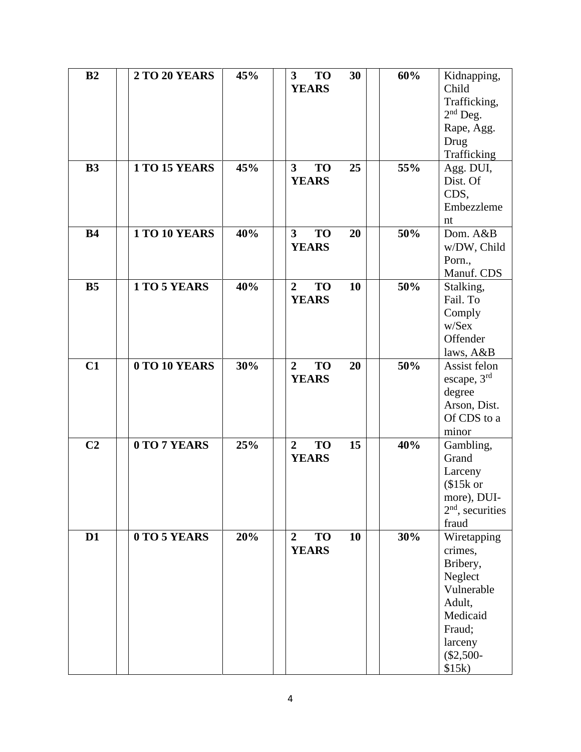| B2             | <b>2 TO 20 YEARS</b> | 45% | 3<br><b>TO</b>              | 30 | 60% | Kidnapping,        |
|----------------|----------------------|-----|-----------------------------|----|-----|--------------------|
|                |                      |     | <b>YEARS</b>                |    |     | Child              |
|                |                      |     |                             |    |     | Trafficking,       |
|                |                      |     |                             |    |     | $2nd$ Deg.         |
|                |                      |     |                             |    |     | Rape, Agg.         |
|                |                      |     |                             |    |     | Drug               |
|                |                      |     |                             |    |     | Trafficking        |
| <b>B3</b>      | <b>1 TO 15 YEARS</b> | 45% | $\mathbf{3}$<br><b>TO</b>   | 25 | 55% | Agg. DUI,          |
|                |                      |     | <b>YEARS</b>                |    |     | Dist. Of           |
|                |                      |     |                             |    |     | CDS,               |
|                |                      |     |                             |    |     | Embezzleme         |
|                |                      |     |                             |    |     | nt                 |
| <b>B4</b>      | 1 TO 10 YEARS        | 40% | 3 <sup>1</sup><br><b>TO</b> | 20 | 50% | Dom. A&B           |
|                |                      |     | <b>YEARS</b>                |    |     | w/DW, Child        |
|                |                      |     |                             |    |     | Porn.,             |
|                |                      |     |                             |    |     | Manuf. CDS         |
| B <sub>5</sub> | 1 TO 5 YEARS         | 40% | <b>TO</b><br>$\overline{2}$ | 10 | 50% | Stalking,          |
|                |                      |     | <b>YEARS</b>                |    |     | Fail. To           |
|                |                      |     |                             |    |     | Comply             |
|                |                      |     |                             |    |     | w/Sex              |
|                |                      |     |                             |    |     | Offender           |
|                |                      |     |                             |    |     | laws, A&B          |
| C1             | 0 TO 10 YEARS        | 30% | <b>TO</b><br>$\overline{2}$ | 20 | 50% | Assist felon       |
|                |                      |     | <b>YEARS</b>                |    |     | escape, $3rd$      |
|                |                      |     |                             |    |     | degree             |
|                |                      |     |                             |    |     | Arson, Dist.       |
|                |                      |     |                             |    |     | Of CDS to a        |
|                |                      |     |                             |    |     | minor              |
| C <sub>2</sub> | 0 TO 7 YEARS         | 25% | <b>TO</b><br>$\overline{2}$ | 15 | 40% | Gambling,          |
|                |                      |     | <b>YEARS</b>                |    |     | Grand              |
|                |                      |     |                             |    |     |                    |
|                |                      |     |                             |    |     | Larceny            |
|                |                      |     |                             |    |     | $$15k$ or          |
|                |                      |     |                             |    |     | more), DUI-        |
|                |                      |     |                             |    |     | $2nd$ , securities |
|                |                      |     |                             |    |     | fraud              |
| D1             | 0 TO 5 YEARS         | 20% | <b>TO</b><br>$\overline{2}$ | 10 | 30% | Wiretapping        |
|                |                      |     | <b>YEARS</b>                |    |     | crimes,            |
|                |                      |     |                             |    |     | Bribery,           |
|                |                      |     |                             |    |     | Neglect            |
|                |                      |     |                             |    |     | Vulnerable         |
|                |                      |     |                             |    |     | Adult,             |
|                |                      |     |                             |    |     | Medicaid           |
|                |                      |     |                             |    |     | Fraud;             |
|                |                      |     |                             |    |     | larceny            |
|                |                      |     |                             |    |     | $($2,500-$         |
|                |                      |     |                             |    |     | \$15k)             |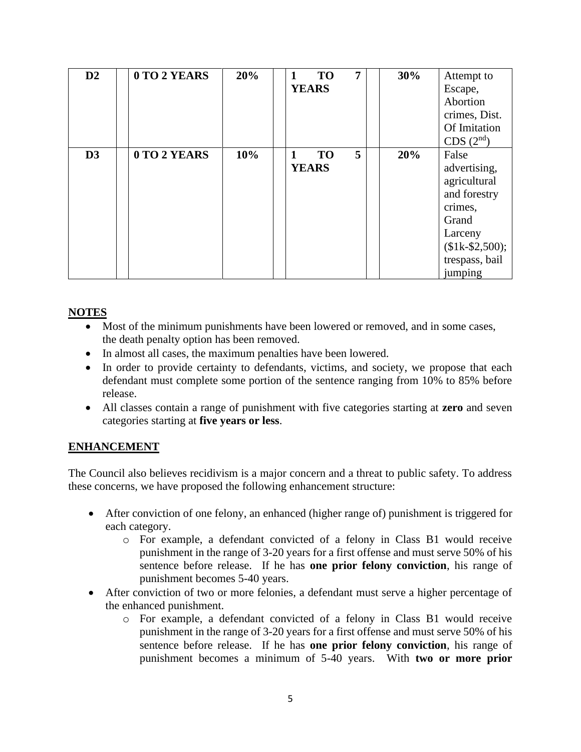| $\mathbf{D2}$ | 0 TO 2 YEARS | 20% | <b>TO</b>    | 7 | 30% | Attempt to      |
|---------------|--------------|-----|--------------|---|-----|-----------------|
|               |              |     | <b>YEARS</b> |   |     | Escape,         |
|               |              |     |              |   |     | Abortion        |
|               |              |     |              |   |     | crimes, Dist.   |
|               |              |     |              |   |     | Of Imitation    |
|               |              |     |              |   |     | CDS $(2nd)$     |
| D3            | 0 TO 2 YEARS | 10% | <b>TO</b>    | 5 | 20% | False           |
|               |              |     | <b>YEARS</b> |   |     | advertising,    |
|               |              |     |              |   |     | agricultural    |
|               |              |     |              |   |     | and forestry    |
|               |              |     |              |   |     | crimes,         |
|               |              |     |              |   |     | Grand           |
|               |              |     |              |   |     | Larceny         |
|               |              |     |              |   |     | $($1k-$2,500);$ |
|               |              |     |              |   |     | trespass, bail  |
|               |              |     |              |   |     | jumping         |

#### **NOTES**

- Most of the minimum punishments have been lowered or removed, and in some cases, the death penalty option has been removed.
- In almost all cases, the maximum penalties have been lowered.
- In order to provide certainty to defendants, victims, and society, we propose that each defendant must complete some portion of the sentence ranging from 10% to 85% before release.
- All classes contain a range of punishment with five categories starting at **zero** and seven categories starting at **five years or less**.

#### **ENHANCEMENT**

The Council also believes recidivism is a major concern and a threat to public safety. To address these concerns, we have proposed the following enhancement structure:

- After conviction of one felony, an enhanced (higher range of) punishment is triggered for each category.
	- o For example, a defendant convicted of a felony in Class B1 would receive punishment in the range of 3-20 years for a first offense and must serve 50% of his sentence before release. If he has **one prior felony conviction**, his range of punishment becomes 5-40 years.
- After conviction of two or more felonies, a defendant must serve a higher percentage of the enhanced punishment.
	- o For example, a defendant convicted of a felony in Class B1 would receive punishment in the range of 3-20 years for a first offense and must serve 50% of his sentence before release. If he has **one prior felony conviction**, his range of punishment becomes a minimum of 5-40 years. With **two or more prior**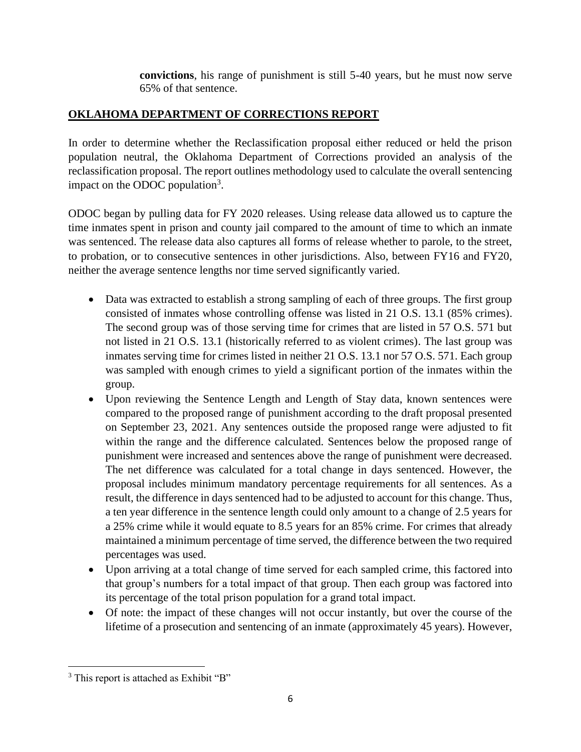**convictions**, his range of punishment is still 5-40 years, but he must now serve 65% of that sentence.

# **OKLAHOMA DEPARTMENT OF CORRECTIONS REPORT**

In order to determine whether the Reclassification proposal either reduced or held the prison population neutral, the Oklahoma Department of Corrections provided an analysis of the reclassification proposal. The report outlines methodology used to calculate the overall sentencing impact on the ODOC population<sup>3</sup>.

ODOC began by pulling data for FY 2020 releases. Using release data allowed us to capture the time inmates spent in prison and county jail compared to the amount of time to which an inmate was sentenced. The release data also captures all forms of release whether to parole, to the street, to probation, or to consecutive sentences in other jurisdictions. Also, between FY16 and FY20, neither the average sentence lengths nor time served significantly varied.

- Data was extracted to establish a strong sampling of each of three groups. The first group consisted of inmates whose controlling offense was listed in 21 O.S. 13.1 (85% crimes). The second group was of those serving time for crimes that are listed in 57 O.S. 571 but not listed in 21 O.S. 13.1 (historically referred to as violent crimes). The last group was inmates serving time for crimes listed in neither 21 O.S. 13.1 nor 57 O.S. 571. Each group was sampled with enough crimes to yield a significant portion of the inmates within the group.
- Upon reviewing the Sentence Length and Length of Stay data, known sentences were compared to the proposed range of punishment according to the draft proposal presented on September 23, 2021. Any sentences outside the proposed range were adjusted to fit within the range and the difference calculated. Sentences below the proposed range of punishment were increased and sentences above the range of punishment were decreased. The net difference was calculated for a total change in days sentenced. However, the proposal includes minimum mandatory percentage requirements for all sentences. As a result, the difference in days sentenced had to be adjusted to account for this change. Thus, a ten year difference in the sentence length could only amount to a change of 2.5 years for a 25% crime while it would equate to 8.5 years for an 85% crime. For crimes that already maintained a minimum percentage of time served, the difference between the two required percentages was used.
- Upon arriving at a total change of time served for each sampled crime, this factored into that group's numbers for a total impact of that group. Then each group was factored into its percentage of the total prison population for a grand total impact.
- Of note: the impact of these changes will not occur instantly, but over the course of the lifetime of a prosecution and sentencing of an inmate (approximately 45 years). However,

<sup>&</sup>lt;sup>3</sup> This report is attached as Exhibit "B"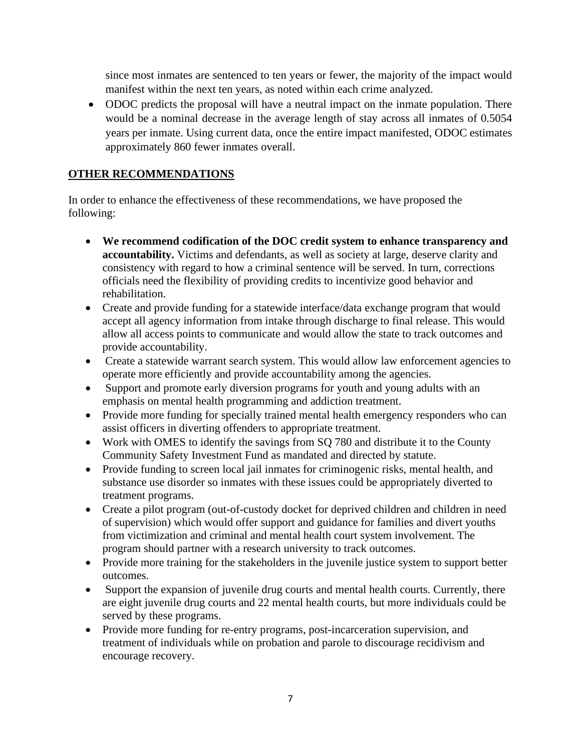since most inmates are sentenced to ten years or fewer, the majority of the impact would manifest within the next ten years, as noted within each crime analyzed.

• ODOC predicts the proposal will have a neutral impact on the inmate population. There would be a nominal decrease in the average length of stay across all inmates of 0.5054 years per inmate. Using current data, once the entire impact manifested, ODOC estimates approximately 860 fewer inmates overall.

### **OTHER RECOMMENDATIONS**

In order to enhance the effectiveness of these recommendations, we have proposed the following:

- **We recommend codification of the DOC credit system to enhance transparency and accountability.** Victims and defendants, as well as society at large, deserve clarity and consistency with regard to how a criminal sentence will be served. In turn, corrections officials need the flexibility of providing credits to incentivize good behavior and rehabilitation.
- Create and provide funding for a statewide interface/data exchange program that would accept all agency information from intake through discharge to final release. This would allow all access points to communicate and would allow the state to track outcomes and provide accountability.
- Create a statewide warrant search system. This would allow law enforcement agencies to operate more efficiently and provide accountability among the agencies.
- Support and promote early diversion programs for youth and young adults with an emphasis on mental health programming and addiction treatment.
- Provide more funding for specially trained mental health emergency responders who can assist officers in diverting offenders to appropriate treatment.
- Work with OMES to identify the savings from SQ 780 and distribute it to the County Community Safety Investment Fund as mandated and directed by statute.
- Provide funding to screen local jail inmates for criminogenic risks, mental health, and substance use disorder so inmates with these issues could be appropriately diverted to treatment programs.
- Create a pilot program (out-of-custody docket for deprived children and children in need of supervision) which would offer support and guidance for families and divert youths from victimization and criminal and mental health court system involvement. The program should partner with a research university to track outcomes.
- Provide more training for the stakeholders in the juvenile justice system to support better outcomes.
- Support the expansion of juvenile drug courts and mental health courts. Currently, there are eight juvenile drug courts and 22 mental health courts, but more individuals could be served by these programs.
- Provide more funding for re-entry programs, post-incarceration supervision, and treatment of individuals while on probation and parole to discourage recidivism and encourage recovery.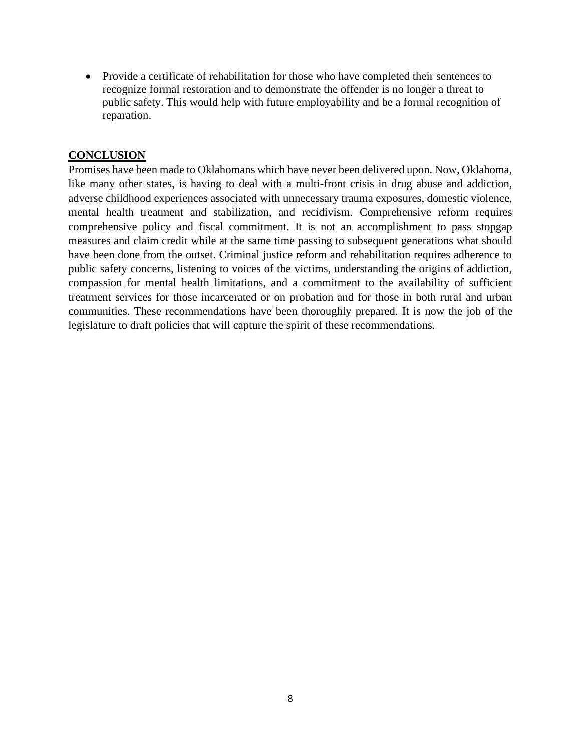• Provide a certificate of rehabilitation for those who have completed their sentences to recognize formal restoration and to demonstrate the offender is no longer a threat to public safety. This would help with future employability and be a formal recognition of reparation.

#### **CONCLUSION**

Promises have been made to Oklahomans which have never been delivered upon. Now, Oklahoma, like many other states, is having to deal with a multi-front crisis in drug abuse and addiction, adverse childhood experiences associated with unnecessary trauma exposures, domestic violence, mental health treatment and stabilization, and recidivism. Comprehensive reform requires comprehensive policy and fiscal commitment. It is not an accomplishment to pass stopgap measures and claim credit while at the same time passing to subsequent generations what should have been done from the outset. Criminal justice reform and rehabilitation requires adherence to public safety concerns, listening to voices of the victims, understanding the origins of addiction, compassion for mental health limitations, and a commitment to the availability of sufficient treatment services for those incarcerated or on probation and for those in both rural and urban communities. These recommendations have been thoroughly prepared. It is now the job of the legislature to draft policies that will capture the spirit of these recommendations.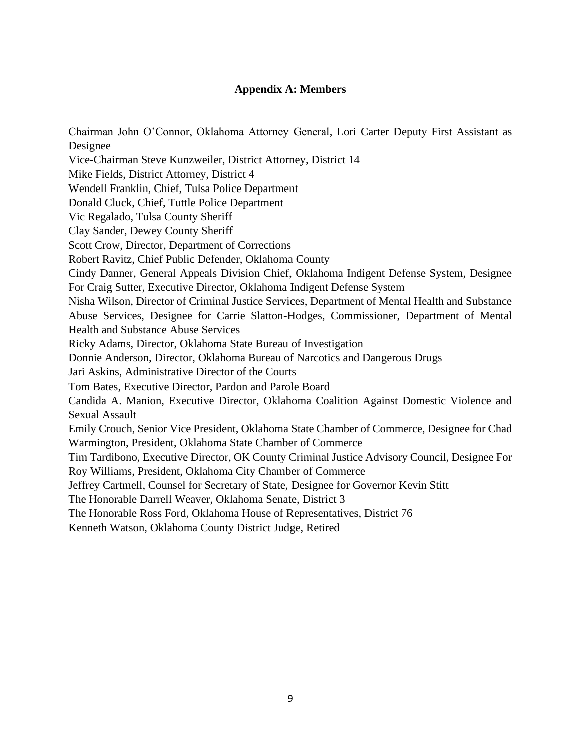#### **Appendix A: Members**

Chairman John O'Connor, Oklahoma Attorney General, Lori Carter Deputy First Assistant as Designee Vice-Chairman Steve Kunzweiler, District Attorney, District 14 Mike Fields, District Attorney, District 4 Wendell Franklin, Chief, Tulsa Police Department Donald Cluck, Chief, Tuttle Police Department Vic Regalado, Tulsa County Sheriff Clay Sander, Dewey County Sheriff Scott Crow, Director, Department of Corrections Robert Ravitz, Chief Public Defender, Oklahoma County Cindy Danner, General Appeals Division Chief, Oklahoma Indigent Defense System, Designee For Craig Sutter, Executive Director, Oklahoma Indigent Defense System Nisha Wilson, Director of Criminal Justice Services, Department of Mental Health and Substance Abuse Services, Designee for Carrie Slatton-Hodges, Commissioner, Department of Mental Health and Substance Abuse Services Ricky Adams, Director, Oklahoma State Bureau of Investigation Donnie Anderson, Director, Oklahoma Bureau of Narcotics and Dangerous Drugs Jari Askins, Administrative Director of the Courts Tom Bates, Executive Director, Pardon and Parole Board Candida A. Manion, Executive Director, Oklahoma Coalition Against Domestic Violence and Sexual Assault Emily Crouch, Senior Vice President, Oklahoma State Chamber of Commerce, Designee for Chad Warmington, President, Oklahoma State Chamber of Commerce Tim Tardibono, Executive Director, OK County Criminal Justice Advisory Council, Designee For Roy Williams, President, Oklahoma City Chamber of Commerce Jeffrey Cartmell, Counsel for Secretary of State, Designee for Governor Kevin Stitt The Honorable Darrell Weaver, Oklahoma Senate, District 3 The Honorable Ross Ford, Oklahoma House of Representatives, District 76 Kenneth Watson, Oklahoma County District Judge, Retired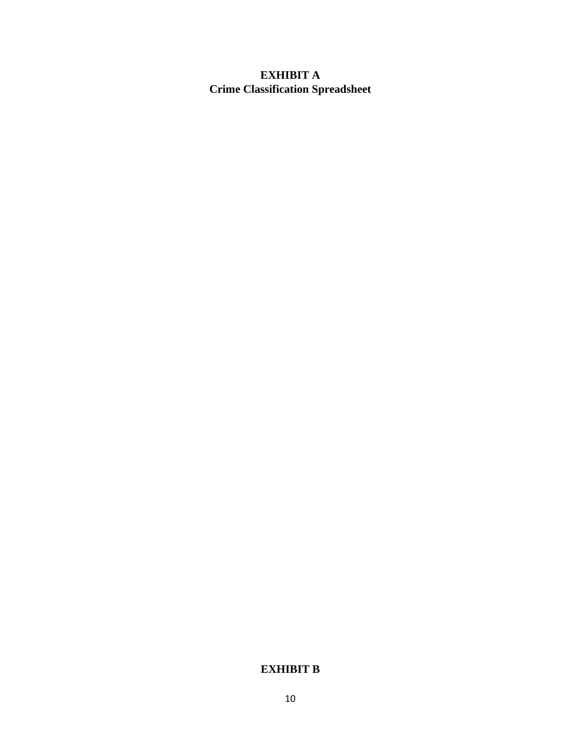# **EXHIBIT A Crime Classification Spreadsheet**

### **EXHIBIT B**